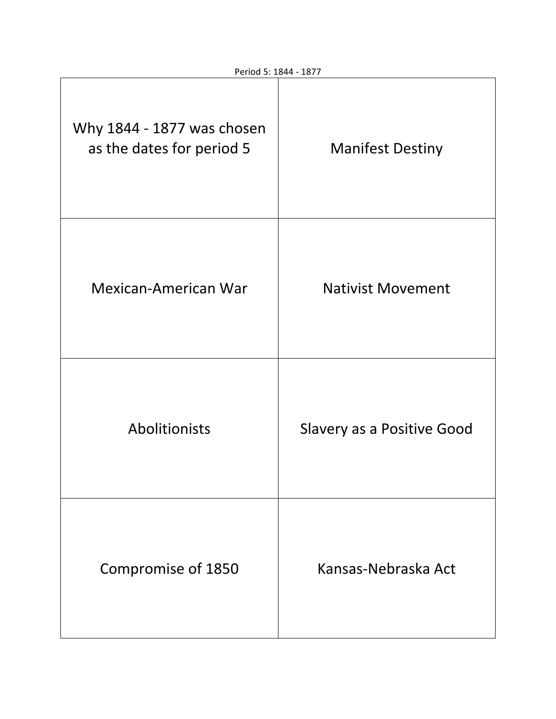| Why 1844 - 1877 was chosen<br>as the dates for period 5 | <b>Manifest Destiny</b>           |
|---------------------------------------------------------|-----------------------------------|
| <b>Mexican-American War</b>                             | <b>Nativist Movement</b>          |
| Abolitionists                                           | <b>Slavery as a Positive Good</b> |
| Compromise of 1850                                      | Kansas-Nebraska Act               |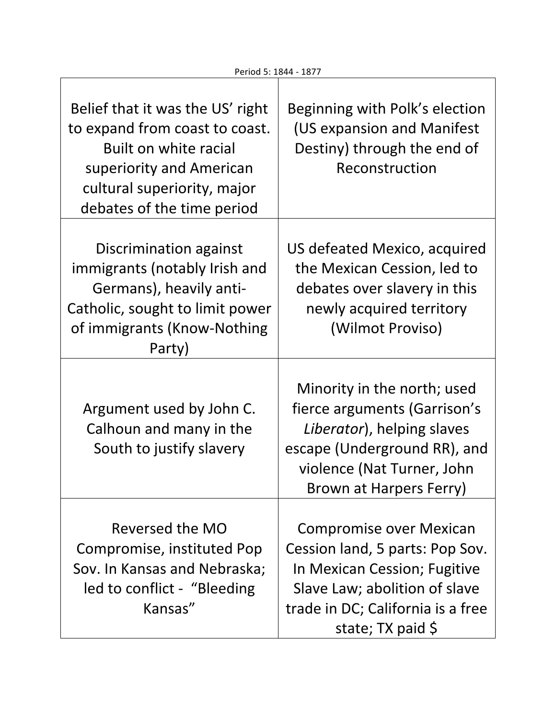$\overline{\phantom{a}}$ 

 $\mathsf{l}$ 

Π

| Belief that it was the US' right<br>to expand from coast to coast.<br>Built on white racial<br>superiority and American<br>cultural superiority, major<br>debates of the time period | Beginning with Polk's election<br>(US expansion and Manifest<br>Destiny) through the end of<br>Reconstruction                                                                                           |
|--------------------------------------------------------------------------------------------------------------------------------------------------------------------------------------|---------------------------------------------------------------------------------------------------------------------------------------------------------------------------------------------------------|
| Discrimination against<br>immigrants (notably Irish and<br>Germans), heavily anti-<br>Catholic, sought to limit power<br>of immigrants (Know-Nothing<br>Party)                       | US defeated Mexico, acquired<br>the Mexican Cession, led to<br>debates over slavery in this<br>newly acquired territory<br>(Wilmot Proviso)                                                             |
| Argument used by John C.<br>Calhoun and many in the<br>South to justify slavery                                                                                                      | Minority in the north; used<br>fierce arguments (Garrison's<br>Liberator), helping slaves<br>escape (Underground RR), and<br>violence (Nat Turner, John<br>Brown at Harpers Ferry)                      |
| Reversed the MO<br>Compromise, instituted Pop<br>Sov. In Kansas and Nebraska;<br>led to conflict - "Bleeding"<br>Kansas"                                                             | <b>Compromise over Mexican</b><br>Cession land, 5 parts: Pop Sov.<br>In Mexican Cession; Fugitive<br>Slave Law; abolition of slave<br>trade in DC; California is a free<br>state; $TX$ paid $\varsigma$ |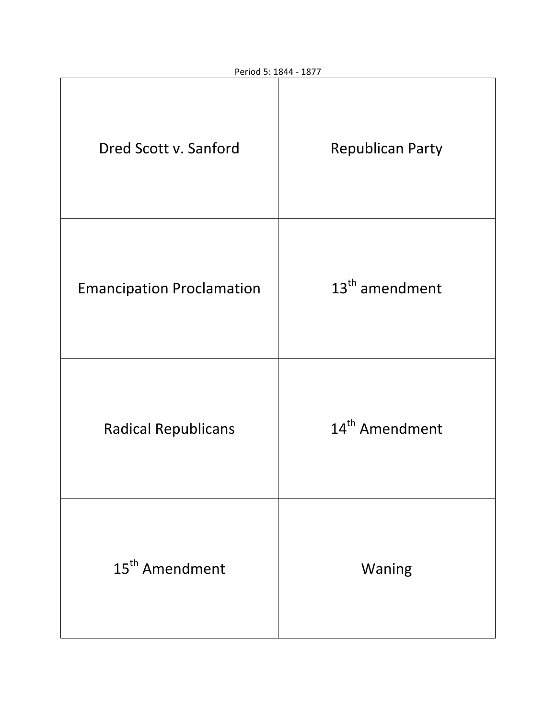| Dred Scott v. Sanford            | <b>Republican Party</b>    |
|----------------------------------|----------------------------|
| <b>Emancipation Proclamation</b> | $13th$ amendment           |
| <b>Radical Republicans</b>       | 14 <sup>th</sup> Amendment |
| 15 <sup>th</sup> Amendment       | Waning                     |